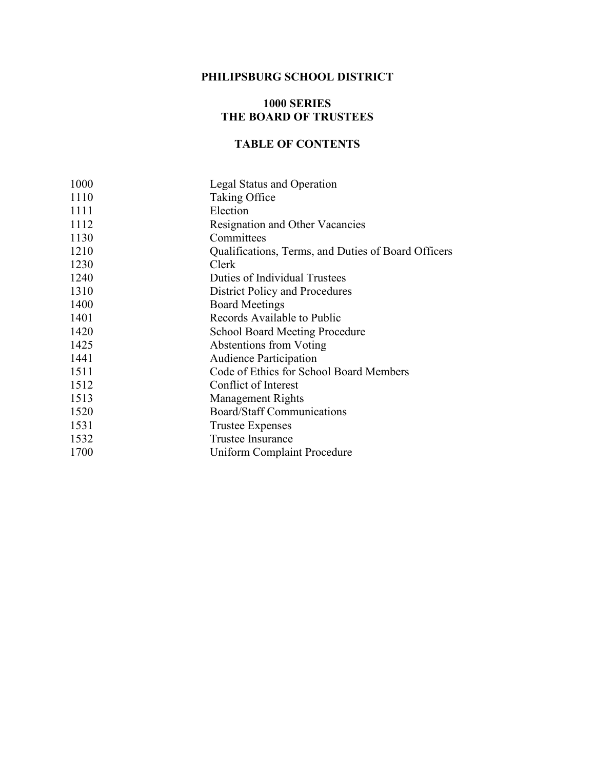## **PHILIPSBURG SCHOOL DISTRICT**

## **1000 SERIES THE BOARD OF TRUSTEES**

## **TABLE OF CONTENTS**

| 1000 | Legal Status and Operation                          |
|------|-----------------------------------------------------|
| 1110 | Taking Office                                       |
| 1111 | Election                                            |
| 1112 | Resignation and Other Vacancies                     |
| 1130 | Committees                                          |
| 1210 | Qualifications, Terms, and Duties of Board Officers |
| 1230 | Clerk                                               |
| 1240 | Duties of Individual Trustees                       |
| 1310 | District Policy and Procedures                      |
| 1400 | <b>Board Meetings</b>                               |
| 1401 | Records Available to Public                         |
| 1420 | <b>School Board Meeting Procedure</b>               |
| 1425 | Abstentions from Voting                             |
| 1441 | <b>Audience Participation</b>                       |
| 1511 | Code of Ethics for School Board Members             |
| 1512 | Conflict of Interest                                |
| 1513 | <b>Management Rights</b>                            |
| 1520 | Board/Staff Communications                          |
| 1531 | <b>Trustee Expenses</b>                             |
| 1532 | <b>Trustee Insurance</b>                            |
| 1700 | Uniform Complaint Procedure                         |
|      |                                                     |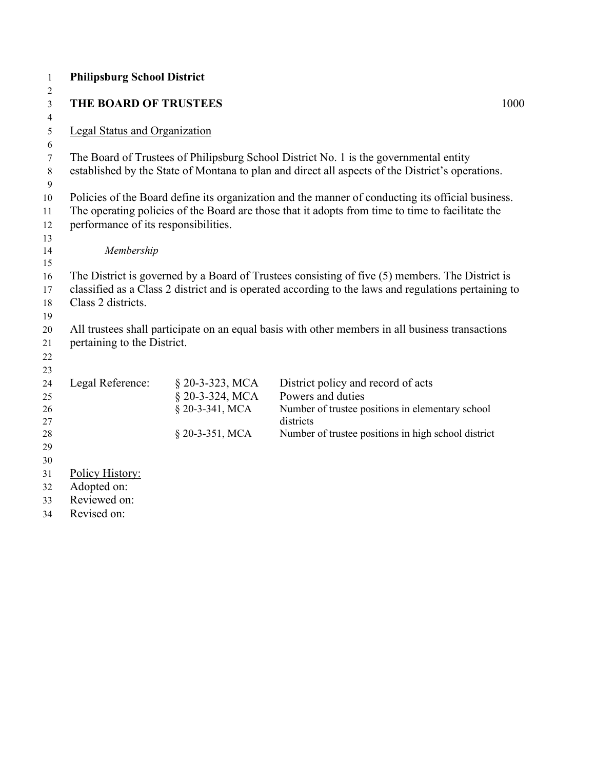| $\mathbf{1}$   | <b>Philipsburg School District</b>   |                 |                                                                                                      |      |
|----------------|--------------------------------------|-----------------|------------------------------------------------------------------------------------------------------|------|
| 2              |                                      |                 |                                                                                                      |      |
| 3              | THE BOARD OF TRUSTEES                |                 |                                                                                                      | 1000 |
| $\overline{4}$ |                                      |                 |                                                                                                      |      |
| 5              | <b>Legal Status and Organization</b> |                 |                                                                                                      |      |
| 6<br>$\tau$    |                                      |                 | The Board of Trustees of Philipsburg School District No. 1 is the governmental entity                |      |
| 8              |                                      |                 | established by the State of Montana to plan and direct all aspects of the District's operations.     |      |
| 9              |                                      |                 |                                                                                                      |      |
| 10             |                                      |                 | Policies of the Board define its organization and the manner of conducting its official business.    |      |
| 11             |                                      |                 | The operating policies of the Board are those that it adopts from time to time to facilitate the     |      |
| 12             | performance of its responsibilities. |                 |                                                                                                      |      |
| 13             |                                      |                 |                                                                                                      |      |
| 14             | Membership                           |                 |                                                                                                      |      |
| 15             |                                      |                 |                                                                                                      |      |
| 16             |                                      |                 | The District is governed by a Board of Trustees consisting of five (5) members. The District is      |      |
| 17             | Class 2 districts.                   |                 | classified as a Class 2 district and is operated according to the laws and regulations pertaining to |      |
| 18<br>19       |                                      |                 |                                                                                                      |      |
| 20             |                                      |                 | All trustees shall participate on an equal basis with other members in all business transactions     |      |
| 21             | pertaining to the District.          |                 |                                                                                                      |      |
| 22             |                                      |                 |                                                                                                      |      |
| 23             |                                      |                 |                                                                                                      |      |
| 24             | Legal Reference:                     | § 20-3-323, MCA | District policy and record of acts                                                                   |      |
| 25             |                                      | § 20-3-324, MCA | Powers and duties                                                                                    |      |
| 26             |                                      | § 20-3-341, MCA | Number of trustee positions in elementary school                                                     |      |
| 27             |                                      |                 | districts                                                                                            |      |
| 28             |                                      | § 20-3-351, MCA | Number of trustee positions in high school district                                                  |      |
| 29<br>30       |                                      |                 |                                                                                                      |      |
| 31             | Policy History:                      |                 |                                                                                                      |      |
| 32             | Adopted on:                          |                 |                                                                                                      |      |
| 33             | Reviewed on:                         |                 |                                                                                                      |      |
| 34             | Revised on:                          |                 |                                                                                                      |      |
|                |                                      |                 |                                                                                                      |      |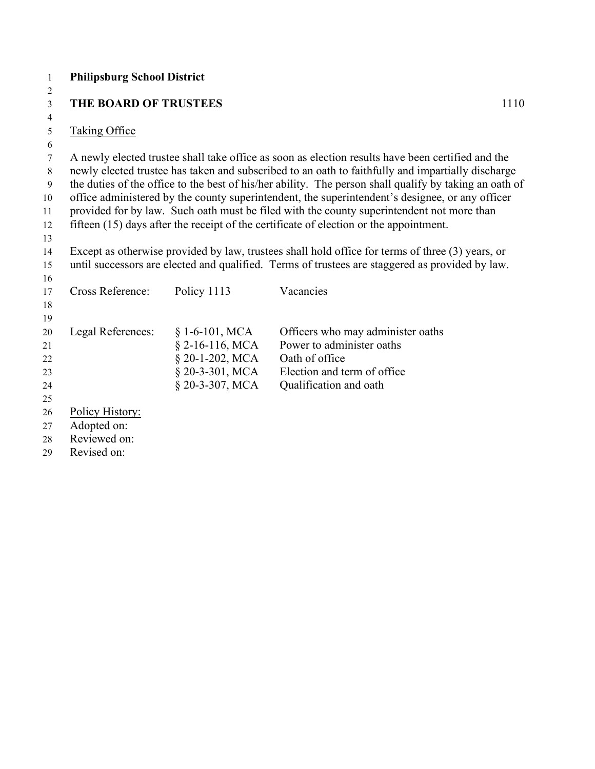| $\mathbf{1}$     | <b>Philipsburg School District</b> |                   |                                                                                                        |
|------------------|------------------------------------|-------------------|--------------------------------------------------------------------------------------------------------|
| 2                |                                    |                   |                                                                                                        |
| 3                | <b>THE BOARD OF TRUSTEES</b>       |                   | 1110                                                                                                   |
| 4                |                                    |                   |                                                                                                        |
| 5                | <b>Taking Office</b>               |                   |                                                                                                        |
| 6                |                                    |                   |                                                                                                        |
| $\boldsymbol{7}$ |                                    |                   | A newly elected trustee shall take office as soon as election results have been certified and the      |
| $8\,$            |                                    |                   | newly elected trustee has taken and subscribed to an oath to faithfully and impartially discharge      |
| 9                |                                    |                   | the duties of the office to the best of his/her ability. The person shall qualify by taking an oath of |
| 10               |                                    |                   | office administered by the county superintendent, the superintendent's designee, or any officer        |
| 11               |                                    |                   | provided for by law. Such oath must be filed with the county superintendent not more than              |
| 12               |                                    |                   | fifteen (15) days after the receipt of the certificate of election or the appointment.                 |
| 13               |                                    |                   |                                                                                                        |
| 14               |                                    |                   | Except as otherwise provided by law, trustees shall hold office for terms of three (3) years, or       |
| 15               |                                    |                   | until successors are elected and qualified. Terms of trustees are staggered as provided by law.        |
| 16<br>17         | Cross Reference:                   | Policy 1113       | Vacancies                                                                                              |
| 18               |                                    |                   |                                                                                                        |
| 19               |                                    |                   |                                                                                                        |
| 20               | Legal References:                  | $§ 1-6-101, MCA$  | Officers who may administer oaths                                                                      |
| 21               |                                    | $§$ 2-16-116, MCA | Power to administer oaths                                                                              |
| 22               |                                    | § 20-1-202, MCA   | Oath of office                                                                                         |
| 23               |                                    | $§$ 20-3-301, MCA | Election and term of office                                                                            |
| 24               |                                    | $$20-3-307, MCA$  | Qualification and oath                                                                                 |
| 25               |                                    |                   |                                                                                                        |
| 26               | Policy History:                    |                   |                                                                                                        |
| 27               | Adopted on:                        |                   |                                                                                                        |
| 28               | Reviewed on:                       |                   |                                                                                                        |
| 29               | Revised on:                        |                   |                                                                                                        |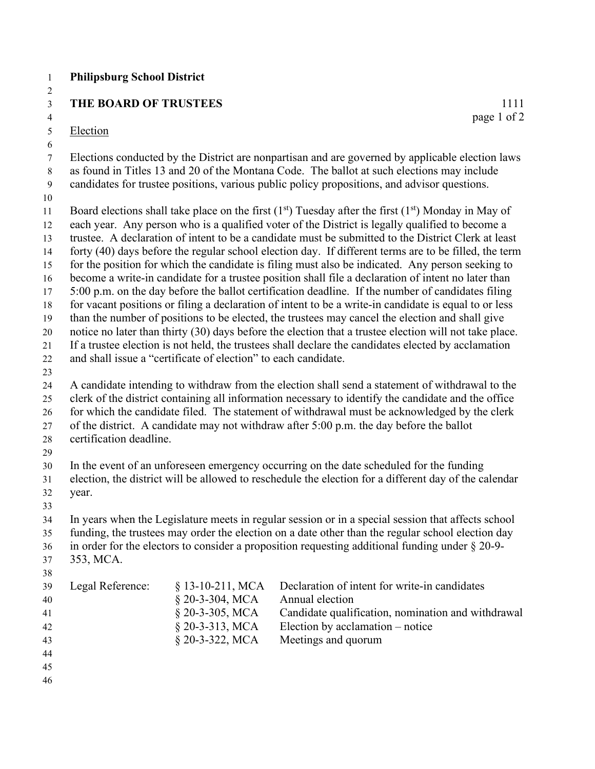|  | <b>Philipsburg School District</b> |  |  |
|--|------------------------------------|--|--|
|--|------------------------------------|--|--|

## **THE BOARD OF TRUSTEES**

 $\begin{array}{c} 2 \\ 3 \\ 4 \\ 5 \end{array}$ Election

 $\frac{1111}{\text{page 1 of 2}}$ 

| 6                      |                         |                                                                |                                                                                                        |
|------------------------|-------------------------|----------------------------------------------------------------|--------------------------------------------------------------------------------------------------------|
| $\boldsymbol{7}$       |                         |                                                                | Elections conducted by the District are nonpartisan and are governed by applicable election laws       |
| $8\,$                  |                         |                                                                | as found in Titles 13 and 20 of the Montana Code. The ballot at such elections may include             |
| $\boldsymbol{9}$<br>10 |                         |                                                                | candidates for trustee positions, various public policy propositions, and advisor questions.           |
| 11                     |                         |                                                                | Board elections shall take place on the first $(1st)$ Tuesday after the first $(1st)$ Monday in May of |
| 12                     |                         |                                                                | each year. Any person who is a qualified voter of the District is legally qualified to become a        |
| 13                     |                         |                                                                | trustee. A declaration of intent to be a candidate must be submitted to the District Clerk at least    |
| 14                     |                         |                                                                | forty (40) days before the regular school election day. If different terms are to be filled, the term  |
| 15                     |                         |                                                                | for the position for which the candidate is filing must also be indicated. Any person seeking to       |
| 16                     |                         |                                                                | become a write-in candidate for a trustee position shall file a declaration of intent no later than    |
| 17                     |                         |                                                                | 5:00 p.m. on the day before the ballot certification deadline. If the number of candidates filing      |
| 18                     |                         |                                                                | for vacant positions or filing a declaration of intent to be a write-in candidate is equal to or less  |
| 19                     |                         |                                                                | than the number of positions to be elected, the trustees may cancel the election and shall give        |
| 20                     |                         |                                                                | notice no later than thirty (30) days before the election that a trustee election will not take place. |
| 21                     |                         |                                                                | If a trustee election is not held, the trustees shall declare the candidates elected by acclamation    |
| 22                     |                         | and shall issue a "certificate of election" to each candidate. |                                                                                                        |
| 23                     |                         |                                                                |                                                                                                        |
| 24                     |                         |                                                                | A candidate intending to withdraw from the election shall send a statement of withdrawal to the        |
| 25                     |                         |                                                                | clerk of the district containing all information necessary to identify the candidate and the office    |
| 26                     |                         |                                                                | for which the candidate filed. The statement of withdrawal must be acknowledged by the clerk           |
| $27\,$                 |                         |                                                                | of the district. A candidate may not withdraw after 5:00 p.m. the day before the ballot                |
| 28                     | certification deadline. |                                                                |                                                                                                        |
| 29                     |                         |                                                                |                                                                                                        |
| 30                     |                         |                                                                | In the event of an unforeseen emergency occurring on the date scheduled for the funding                |
| 31                     |                         |                                                                | election, the district will be allowed to reschedule the election for a different day of the calendar  |
| 32                     | year.                   |                                                                |                                                                                                        |
| 33                     |                         |                                                                |                                                                                                        |
| 34                     |                         |                                                                | In years when the Legislature meets in regular session or in a special session that affects school     |
| 35                     |                         |                                                                | funding, the trustees may order the election on a date other than the regular school election day      |
| 36                     |                         |                                                                | in order for the electors to consider a proposition requesting additional funding under $\S 20-9$ -    |
| 37                     | 353, MCA.               |                                                                |                                                                                                        |
| $38\,$                 |                         |                                                                |                                                                                                        |
| 39                     | Legal Reference:        | § 13-10-211, MCA                                               | Declaration of intent for write-in candidates<br>Annual election                                       |
| 40                     |                         | § 20-3-304, MCA<br>§ 20-3-305, MCA                             | Candidate qualification, nomination and withdrawal                                                     |
| 41<br>42               |                         | $§$ 20-3-313, MCA                                              | Election by acclamation - notice                                                                       |
| 43                     |                         | § 20-3-322, MCA                                                | Meetings and quorum                                                                                    |
| 44                     |                         |                                                                |                                                                                                        |
|                        |                         |                                                                |                                                                                                        |

- 
-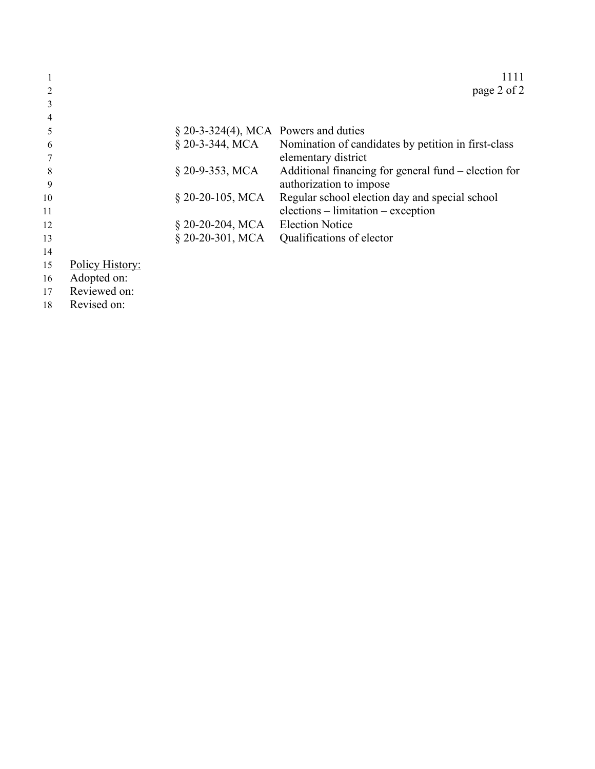|                |                 |                                         | 1111                                                 |
|----------------|-----------------|-----------------------------------------|------------------------------------------------------|
|                |                 |                                         | page 2 of 2                                          |
| 3              |                 |                                         |                                                      |
| $\overline{4}$ |                 |                                         |                                                      |
| 5              |                 | $\S$ 20-3-324(4), MCA Powers and duties |                                                      |
| -6             |                 | § 20-3-344, MCA                         | Nomination of candidates by petition in first-class  |
|                |                 |                                         | elementary district                                  |
| 8              |                 | $§$ 20-9-353, MCA                       | Additional financing for general fund – election for |
| -9             |                 |                                         | authorization to impose                              |
| 10             |                 | $\S$ 20-20-105, MCA                     | Regular school election day and special school       |
| 11             |                 |                                         | $elections - limitation - exception$                 |
| 12             |                 | $$20-20-204, MCA$                       | <b>Election Notice</b>                               |
| 13             |                 | § 20-20-301, MCA                        | Qualifications of elector                            |
| 14             |                 |                                         |                                                      |
| 15             | Policy History: |                                         |                                                      |

- Adopted on:
- Reviewed on:
- Revised on: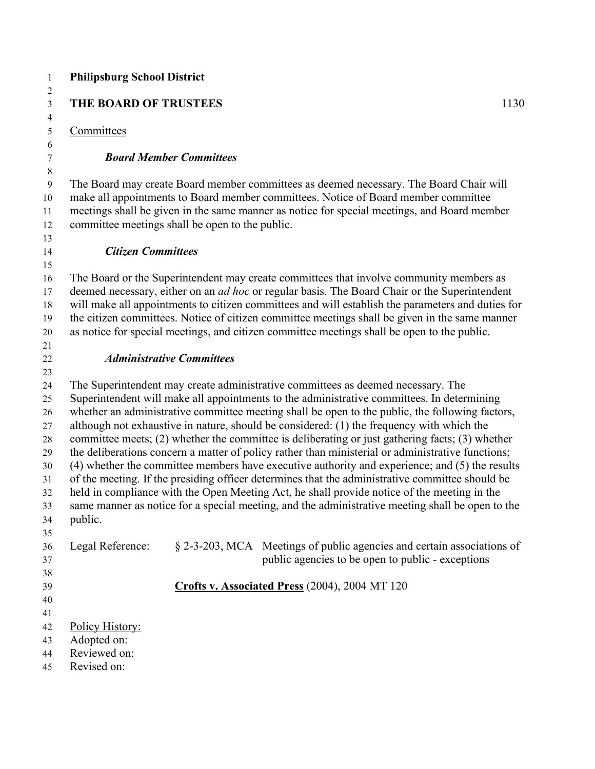| 1                                                                          | <b>Philipsburg School District</b>              |                                |                                                                                                                                                                                                                                                                                                                                                                                                                                                                                                                                                                                                                                                                                                                                                                                                                                                                                                                                                                                                    |      |
|----------------------------------------------------------------------------|-------------------------------------------------|--------------------------------|----------------------------------------------------------------------------------------------------------------------------------------------------------------------------------------------------------------------------------------------------------------------------------------------------------------------------------------------------------------------------------------------------------------------------------------------------------------------------------------------------------------------------------------------------------------------------------------------------------------------------------------------------------------------------------------------------------------------------------------------------------------------------------------------------------------------------------------------------------------------------------------------------------------------------------------------------------------------------------------------------|------|
| 2<br>3                                                                     | <b>THE BOARD OF TRUSTEES</b>                    |                                |                                                                                                                                                                                                                                                                                                                                                                                                                                                                                                                                                                                                                                                                                                                                                                                                                                                                                                                                                                                                    | 1130 |
| 4                                                                          |                                                 |                                |                                                                                                                                                                                                                                                                                                                                                                                                                                                                                                                                                                                                                                                                                                                                                                                                                                                                                                                                                                                                    |      |
| 5                                                                          | Committees                                      |                                |                                                                                                                                                                                                                                                                                                                                                                                                                                                                                                                                                                                                                                                                                                                                                                                                                                                                                                                                                                                                    |      |
| 6<br>7                                                                     |                                                 | <b>Board Member Committees</b> |                                                                                                                                                                                                                                                                                                                                                                                                                                                                                                                                                                                                                                                                                                                                                                                                                                                                                                                                                                                                    |      |
| 8<br>9<br>10<br>11<br>12                                                   | committee meetings shall be open to the public. |                                | The Board may create Board member committees as deemed necessary. The Board Chair will<br>make all appointments to Board member committees. Notice of Board member committee<br>meetings shall be given in the same manner as notice for special meetings, and Board member                                                                                                                                                                                                                                                                                                                                                                                                                                                                                                                                                                                                                                                                                                                        |      |
| 13<br>14                                                                   | <b>Citizen Committees</b>                       |                                |                                                                                                                                                                                                                                                                                                                                                                                                                                                                                                                                                                                                                                                                                                                                                                                                                                                                                                                                                                                                    |      |
| 15                                                                         |                                                 |                                |                                                                                                                                                                                                                                                                                                                                                                                                                                                                                                                                                                                                                                                                                                                                                                                                                                                                                                                                                                                                    |      |
| 16<br>17<br>18<br>19<br>20                                                 |                                                 |                                | The Board or the Superintendent may create committees that involve community members as<br>deemed necessary, either on an <i>ad hoc</i> or regular basis. The Board Chair or the Superintendent<br>will make all appointments to citizen committees and will establish the parameters and duties for<br>the citizen committees. Notice of citizen committee meetings shall be given in the same manner<br>as notice for special meetings, and citizen committee meetings shall be open to the public.                                                                                                                                                                                                                                                                                                                                                                                                                                                                                              |      |
| 21                                                                         |                                                 |                                |                                                                                                                                                                                                                                                                                                                                                                                                                                                                                                                                                                                                                                                                                                                                                                                                                                                                                                                                                                                                    |      |
| 22                                                                         | <b>Administrative Committees</b>                |                                |                                                                                                                                                                                                                                                                                                                                                                                                                                                                                                                                                                                                                                                                                                                                                                                                                                                                                                                                                                                                    |      |
| 23<br>24<br>25<br>26<br>27<br>28<br>29<br>30<br>31<br>32<br>33<br>34<br>35 | public.                                         |                                | The Superintendent may create administrative committees as deemed necessary. The<br>Superintendent will make all appointments to the administrative committees. In determining<br>whether an administrative committee meeting shall be open to the public, the following factors,<br>although not exhaustive in nature, should be considered: (1) the frequency with which the<br>committee meets; $(2)$ whether the committee is deliberating or just gathering facts; $(3)$ whether<br>the deliberations concern a matter of policy rather than ministerial or administrative functions;<br>(4) whether the committee members have executive authority and experience; and (5) the results<br>of the meeting. If the presiding officer determines that the administrative committee should be<br>held in compliance with the Open Meeting Act, he shall provide notice of the meeting in the<br>same manner as notice for a special meeting, and the administrative meeting shall be open to the |      |
| 36<br>37                                                                   | Legal Reference:                                |                                | § 2-3-203, MCA Meetings of public agencies and certain associations of<br>public agencies to be open to public - exceptions                                                                                                                                                                                                                                                                                                                                                                                                                                                                                                                                                                                                                                                                                                                                                                                                                                                                        |      |
| 38<br>39<br>40<br>41                                                       |                                                 |                                | Crofts v. Associated Press (2004), 2004 MT 120                                                                                                                                                                                                                                                                                                                                                                                                                                                                                                                                                                                                                                                                                                                                                                                                                                                                                                                                                     |      |
| 42<br>43<br>44                                                             | Policy History:<br>Adopted on:<br>Reviewed on:  |                                |                                                                                                                                                                                                                                                                                                                                                                                                                                                                                                                                                                                                                                                                                                                                                                                                                                                                                                                                                                                                    |      |
| 45                                                                         | Revised on:                                     |                                |                                                                                                                                                                                                                                                                                                                                                                                                                                                                                                                                                                                                                                                                                                                                                                                                                                                                                                                                                                                                    |      |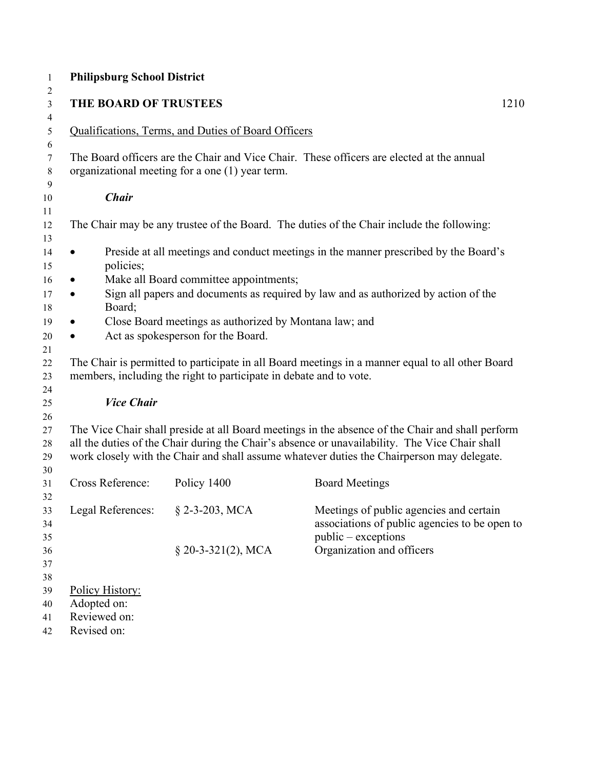| <b>Philipsburg School District</b> |                                                                    |                                                                                                                                                                                                                                                                                                  |
|------------------------------------|--------------------------------------------------------------------|--------------------------------------------------------------------------------------------------------------------------------------------------------------------------------------------------------------------------------------------------------------------------------------------------|
| THE BOARD OF TRUSTEES              |                                                                    | 1210                                                                                                                                                                                                                                                                                             |
|                                    | Qualifications, Terms, and Duties of Board Officers                |                                                                                                                                                                                                                                                                                                  |
|                                    | organizational meeting for a one (1) year term.                    | The Board officers are the Chair and Vice Chair. These officers are elected at the annual                                                                                                                                                                                                        |
| <b>Chair</b>                       |                                                                    |                                                                                                                                                                                                                                                                                                  |
|                                    |                                                                    | The Chair may be any trustee of the Board. The duties of the Chair include the following:                                                                                                                                                                                                        |
| $\bullet$                          |                                                                    | Preside at all meetings and conduct meetings in the manner prescribed by the Board's                                                                                                                                                                                                             |
| policies;                          | Make all Board committee appointments;                             |                                                                                                                                                                                                                                                                                                  |
| $\bullet$<br>$\bullet$             |                                                                    | Sign all papers and documents as required by law and as authorized by action of the                                                                                                                                                                                                              |
| Board;                             |                                                                    |                                                                                                                                                                                                                                                                                                  |
| $\bullet$                          | Close Board meetings as authorized by Montana law; and             |                                                                                                                                                                                                                                                                                                  |
|                                    | Act as spokesperson for the Board.                                 |                                                                                                                                                                                                                                                                                                  |
|                                    | members, including the right to participate in debate and to vote. | The Chair is permitted to participate in all Board meetings in a manner equal to all other Board                                                                                                                                                                                                 |
| <b>Vice Chair</b>                  |                                                                    |                                                                                                                                                                                                                                                                                                  |
|                                    |                                                                    | The Vice Chair shall preside at all Board meetings in the absence of the Chair and shall perform<br>all the duties of the Chair during the Chair's absence or unavailability. The Vice Chair shall<br>work closely with the Chair and shall assume whatever duties the Chairperson may delegate. |
| <b>Cross Reference:</b>            | Policy 1400                                                        | <b>Board Meetings</b>                                                                                                                                                                                                                                                                            |
| Legal References:                  | § 2-3-203, MCA                                                     | Meetings of public agencies and certain                                                                                                                                                                                                                                                          |
|                                    |                                                                    | associations of public agencies to be open to                                                                                                                                                                                                                                                    |
|                                    |                                                                    | public – exceptions                                                                                                                                                                                                                                                                              |
|                                    | $$20-3-321(2), MCA$                                                | Organization and officers                                                                                                                                                                                                                                                                        |
|                                    |                                                                    |                                                                                                                                                                                                                                                                                                  |
|                                    |                                                                    |                                                                                                                                                                                                                                                                                                  |
| Policy History:<br>Adopted on:     |                                                                    |                                                                                                                                                                                                                                                                                                  |
| Reviewed on:                       |                                                                    |                                                                                                                                                                                                                                                                                                  |
| Revised on:                        |                                                                    |                                                                                                                                                                                                                                                                                                  |
|                                    |                                                                    |                                                                                                                                                                                                                                                                                                  |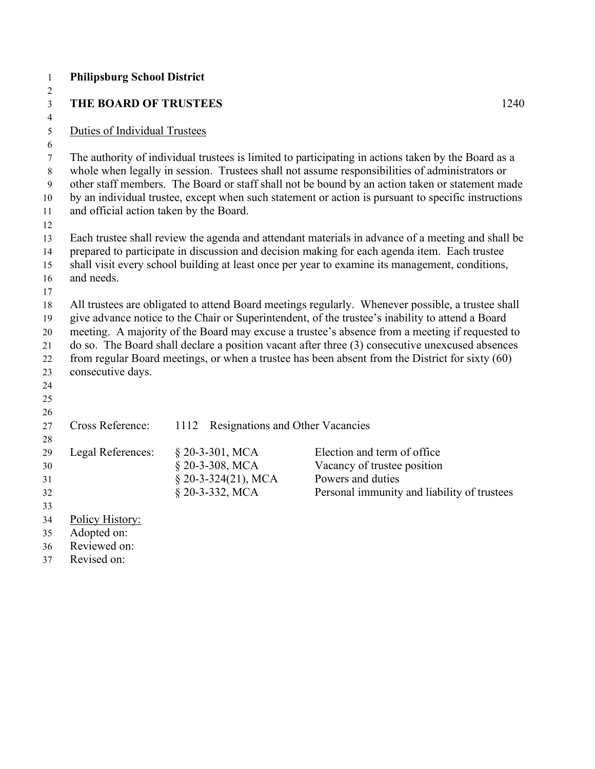| $\mathbf{1}$        | <b>Philipsburg School District</b>      |                                          |                                                                                                     |
|---------------------|-----------------------------------------|------------------------------------------|-----------------------------------------------------------------------------------------------------|
| $\overline{2}$      |                                         |                                          |                                                                                                     |
| 3                   | <b>THE BOARD OF TRUSTEES</b>            |                                          | 1240                                                                                                |
| $\overline{4}$<br>5 | Duties of Individual Trustees           |                                          |                                                                                                     |
| 6                   |                                         |                                          |                                                                                                     |
| 7                   |                                         |                                          | The authority of individual trustees is limited to participating in actions taken by the Board as a |
| 8                   |                                         |                                          | whole when legally in session. Trustees shall not assume responsibilities of administrators or      |
| 9                   |                                         |                                          | other staff members. The Board or staff shall not be bound by an action taken or statement made     |
| 10                  |                                         |                                          | by an individual trustee, except when such statement or action is pursuant to specific instructions |
| 11                  | and official action taken by the Board. |                                          |                                                                                                     |
| 12                  |                                         |                                          |                                                                                                     |
| 13                  |                                         |                                          | Each trustee shall review the agenda and attendant materials in advance of a meeting and shall be   |
| 14                  |                                         |                                          | prepared to participate in discussion and decision making for each agenda item. Each trustee        |
| 15                  |                                         |                                          | shall visit every school building at least once per year to examine its management, conditions,     |
| 16<br>17            | and needs.                              |                                          |                                                                                                     |
| 18                  |                                         |                                          | All trustees are obligated to attend Board meetings regularly. Whenever possible, a trustee shall   |
| 19                  |                                         |                                          | give advance notice to the Chair or Superintendent, of the trustee's inability to attend a Board    |
| 20                  |                                         |                                          | meeting. A majority of the Board may excuse a trustee's absence from a meeting if requested to      |
| 21                  |                                         |                                          | do so. The Board shall declare a position vacant after three (3) consecutive unexcused absences     |
| 22                  |                                         |                                          | from regular Board meetings, or when a trustee has been absent from the District for sixty (60)     |
| 23                  | consecutive days.                       |                                          |                                                                                                     |
| 24                  |                                         |                                          |                                                                                                     |
| 25                  |                                         |                                          |                                                                                                     |
| 26                  |                                         |                                          |                                                                                                     |
| 27                  | Cross Reference:                        | Resignations and Other Vacancies<br>1112 |                                                                                                     |
| 28<br>29            | Legal References:                       | § 20-3-301, MCA                          | Election and term of office                                                                         |
| 30                  |                                         | § 20-3-308, MCA                          | Vacancy of trustee position                                                                         |
| 31                  |                                         | $$20-3-324(21), MCA$                     | Powers and duties                                                                                   |
| 32                  |                                         | § 20-3-332, MCA                          | Personal immunity and liability of trustees                                                         |
| 33                  |                                         |                                          |                                                                                                     |
| 34                  | Policy History:                         |                                          |                                                                                                     |
| 35                  | Adopted on:                             |                                          |                                                                                                     |
| 36                  | Reviewed on:                            |                                          |                                                                                                     |
| 37                  | Revised on:                             |                                          |                                                                                                     |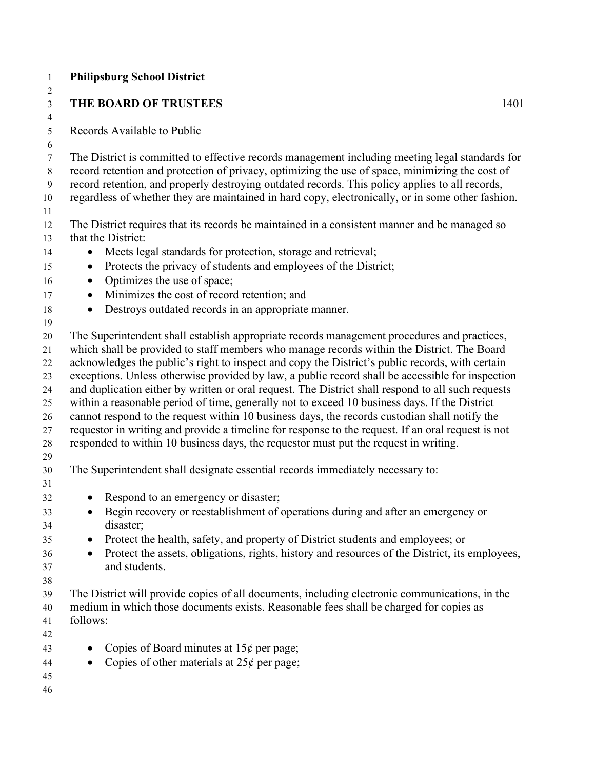|                        | <b>Philipsburg School District</b>                                                                                                                                                                                                                                                                                                                                                                                                                                                                                                                                                                                                                                                                                                                                                                                                                                                                     |      |
|------------------------|--------------------------------------------------------------------------------------------------------------------------------------------------------------------------------------------------------------------------------------------------------------------------------------------------------------------------------------------------------------------------------------------------------------------------------------------------------------------------------------------------------------------------------------------------------------------------------------------------------------------------------------------------------------------------------------------------------------------------------------------------------------------------------------------------------------------------------------------------------------------------------------------------------|------|
|                        | <b>THE BOARD OF TRUSTEES</b>                                                                                                                                                                                                                                                                                                                                                                                                                                                                                                                                                                                                                                                                                                                                                                                                                                                                           | 1401 |
|                        | Records Available to Public                                                                                                                                                                                                                                                                                                                                                                                                                                                                                                                                                                                                                                                                                                                                                                                                                                                                            |      |
|                        | The District is committed to effective records management including meeting legal standards for<br>record retention and protection of privacy, optimizing the use of space, minimizing the cost of<br>record retention, and properly destroying outdated records. This policy applies to all records,<br>regardless of whether they are maintained in hard copy, electronically, or in some other fashion.                                                                                                                                                                                                                                                                                                                                                                                                                                                                                             |      |
|                        | The District requires that its records be maintained in a consistent manner and be managed so<br>that the District:                                                                                                                                                                                                                                                                                                                                                                                                                                                                                                                                                                                                                                                                                                                                                                                    |      |
| $\bullet$<br>$\bullet$ | Meets legal standards for protection, storage and retrieval;<br>Protects the privacy of students and employees of the District;<br>Optimizes the use of space;                                                                                                                                                                                                                                                                                                                                                                                                                                                                                                                                                                                                                                                                                                                                         |      |
| $\bullet$              | Minimizes the cost of record retention; and<br>Destroys outdated records in an appropriate manner.                                                                                                                                                                                                                                                                                                                                                                                                                                                                                                                                                                                                                                                                                                                                                                                                     |      |
|                        | The Superintendent shall establish appropriate records management procedures and practices,<br>which shall be provided to staff members who manage records within the District. The Board<br>acknowledges the public's right to inspect and copy the District's public records, with certain<br>exceptions. Unless otherwise provided by law, a public record shall be accessible for inspection<br>and duplication either by written or oral request. The District shall respond to all such requests<br>within a reasonable period of time, generally not to exceed 10 business days. If the District<br>cannot respond to the request within 10 business days, the records custodian shall notify the<br>requestor in writing and provide a timeline for response to the request. If an oral request is not<br>responded to within 10 business days, the requestor must put the request in writing. |      |
|                        | The Superintendent shall designate essential records immediately necessary to:                                                                                                                                                                                                                                                                                                                                                                                                                                                                                                                                                                                                                                                                                                                                                                                                                         |      |
| $\bullet$<br>$\bullet$ | Respond to an emergency or disaster;<br>Begin recovery or reestablishment of operations during and after an emergency or<br>disaster;<br>Protect the health, safety, and property of District students and employees; or<br>Protect the assets, obligations, rights, history and resources of the District, its employees,<br>and students.                                                                                                                                                                                                                                                                                                                                                                                                                                                                                                                                                            |      |
| follows:               | The District will provide copies of all documents, including electronic communications, in the<br>medium in which those documents exists. Reasonable fees shall be charged for copies as                                                                                                                                                                                                                                                                                                                                                                                                                                                                                                                                                                                                                                                                                                               |      |
|                        | Copies of Board minutes at $15¢$ per page;<br>Copies of other materials at $25¢$ per page;                                                                                                                                                                                                                                                                                                                                                                                                                                                                                                                                                                                                                                                                                                                                                                                                             |      |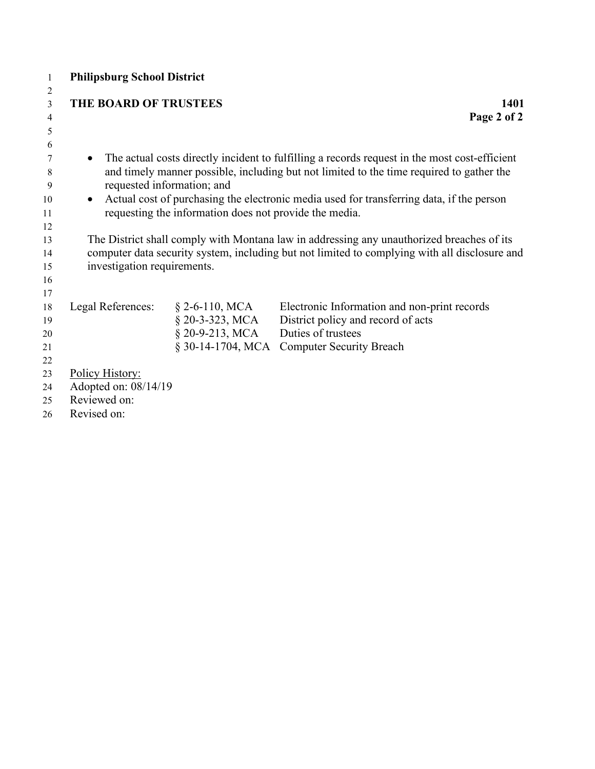|              |                                      | 1401                                                                                                                                                                                                                                                                                                                                                                                                                                                                                                |
|--------------|--------------------------------------|-----------------------------------------------------------------------------------------------------------------------------------------------------------------------------------------------------------------------------------------------------------------------------------------------------------------------------------------------------------------------------------------------------------------------------------------------------------------------------------------------------|
|              |                                      | Page 2 of 2                                                                                                                                                                                                                                                                                                                                                                                                                                                                                         |
|              |                                      |                                                                                                                                                                                                                                                                                                                                                                                                                                                                                                     |
|              |                                      |                                                                                                                                                                                                                                                                                                                                                                                                                                                                                                     |
| $\bullet$    |                                      | The actual costs directly incident to fulfilling a records request in the most cost-efficient                                                                                                                                                                                                                                                                                                                                                                                                       |
|              |                                      | and timely manner possible, including but not limited to the time required to gather the                                                                                                                                                                                                                                                                                                                                                                                                            |
|              |                                      |                                                                                                                                                                                                                                                                                                                                                                                                                                                                                                     |
| $\bullet$    |                                      | Actual cost of purchasing the electronic media used for transferring data, if the person                                                                                                                                                                                                                                                                                                                                                                                                            |
|              |                                      |                                                                                                                                                                                                                                                                                                                                                                                                                                                                                                     |
|              |                                      |                                                                                                                                                                                                                                                                                                                                                                                                                                                                                                     |
|              |                                      |                                                                                                                                                                                                                                                                                                                                                                                                                                                                                                     |
|              |                                      |                                                                                                                                                                                                                                                                                                                                                                                                                                                                                                     |
|              |                                      |                                                                                                                                                                                                                                                                                                                                                                                                                                                                                                     |
|              |                                      |                                                                                                                                                                                                                                                                                                                                                                                                                                                                                                     |
|              |                                      | Electronic Information and non-print records                                                                                                                                                                                                                                                                                                                                                                                                                                                        |
|              |                                      | District policy and record of acts                                                                                                                                                                                                                                                                                                                                                                                                                                                                  |
|              |                                      | Duties of trustees                                                                                                                                                                                                                                                                                                                                                                                                                                                                                  |
|              |                                      | <b>Computer Security Breach</b>                                                                                                                                                                                                                                                                                                                                                                                                                                                                     |
|              |                                      |                                                                                                                                                                                                                                                                                                                                                                                                                                                                                                     |
|              |                                      |                                                                                                                                                                                                                                                                                                                                                                                                                                                                                                     |
|              |                                      |                                                                                                                                                                                                                                                                                                                                                                                                                                                                                                     |
| Reviewed on: |                                      |                                                                                                                                                                                                                                                                                                                                                                                                                                                                                                     |
| Revised on:  |                                      |                                                                                                                                                                                                                                                                                                                                                                                                                                                                                                     |
|              | Legal References:<br>Policy History: | <b>Philipsburg School District</b><br><b>THE BOARD OF TRUSTEES</b><br>requested information; and<br>requesting the information does not provide the media.<br>The District shall comply with Montana law in addressing any unauthorized breaches of its<br>computer data security system, including but not limited to complying with all disclosure and<br>investigation requirements.<br>$\S$ 2-6-110, MCA<br>$§$ 20-3-323, MCA<br>$§ 20-9-213, MCA$<br>§ 30-14-1704, MCA<br>Adopted on: 08/14/19 |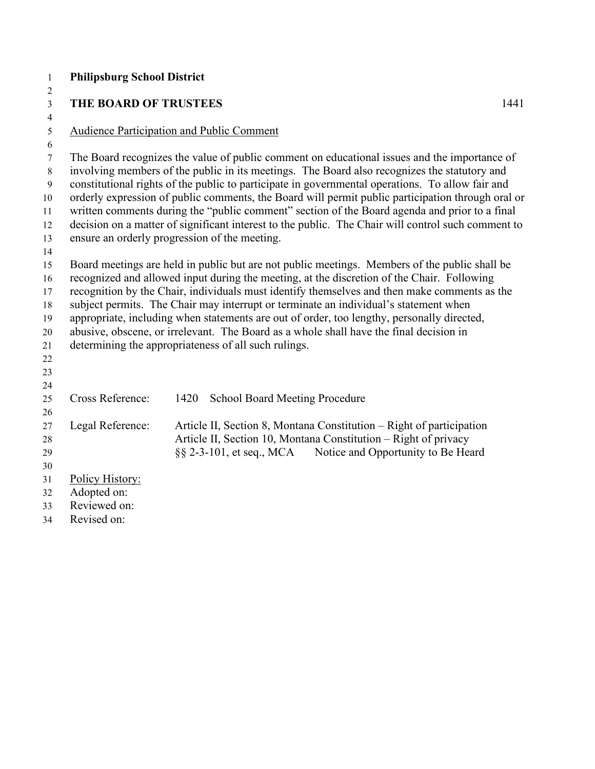|              |                                                                        | 1441                                                                                                                                                                                                                                                                                                                                                                                                                                                                                                                                                                                                                                                                                                                                                                                                                                                                                                                                                                                                                                                                                                                                                                                                                                                                                                                                                                                                                                                                                                                                                                                                                                                                                  |
|--------------|------------------------------------------------------------------------|---------------------------------------------------------------------------------------------------------------------------------------------------------------------------------------------------------------------------------------------------------------------------------------------------------------------------------------------------------------------------------------------------------------------------------------------------------------------------------------------------------------------------------------------------------------------------------------------------------------------------------------------------------------------------------------------------------------------------------------------------------------------------------------------------------------------------------------------------------------------------------------------------------------------------------------------------------------------------------------------------------------------------------------------------------------------------------------------------------------------------------------------------------------------------------------------------------------------------------------------------------------------------------------------------------------------------------------------------------------------------------------------------------------------------------------------------------------------------------------------------------------------------------------------------------------------------------------------------------------------------------------------------------------------------------------|
|              |                                                                        |                                                                                                                                                                                                                                                                                                                                                                                                                                                                                                                                                                                                                                                                                                                                                                                                                                                                                                                                                                                                                                                                                                                                                                                                                                                                                                                                                                                                                                                                                                                                                                                                                                                                                       |
|              |                                                                        |                                                                                                                                                                                                                                                                                                                                                                                                                                                                                                                                                                                                                                                                                                                                                                                                                                                                                                                                                                                                                                                                                                                                                                                                                                                                                                                                                                                                                                                                                                                                                                                                                                                                                       |
|              |                                                                        |                                                                                                                                                                                                                                                                                                                                                                                                                                                                                                                                                                                                                                                                                                                                                                                                                                                                                                                                                                                                                                                                                                                                                                                                                                                                                                                                                                                                                                                                                                                                                                                                                                                                                       |
|              |                                                                        |                                                                                                                                                                                                                                                                                                                                                                                                                                                                                                                                                                                                                                                                                                                                                                                                                                                                                                                                                                                                                                                                                                                                                                                                                                                                                                                                                                                                                                                                                                                                                                                                                                                                                       |
|              |                                                                        |                                                                                                                                                                                                                                                                                                                                                                                                                                                                                                                                                                                                                                                                                                                                                                                                                                                                                                                                                                                                                                                                                                                                                                                                                                                                                                                                                                                                                                                                                                                                                                                                                                                                                       |
|              |                                                                        |                                                                                                                                                                                                                                                                                                                                                                                                                                                                                                                                                                                                                                                                                                                                                                                                                                                                                                                                                                                                                                                                                                                                                                                                                                                                                                                                                                                                                                                                                                                                                                                                                                                                                       |
|              |                                                                        |                                                                                                                                                                                                                                                                                                                                                                                                                                                                                                                                                                                                                                                                                                                                                                                                                                                                                                                                                                                                                                                                                                                                                                                                                                                                                                                                                                                                                                                                                                                                                                                                                                                                                       |
|              |                                                                        |                                                                                                                                                                                                                                                                                                                                                                                                                                                                                                                                                                                                                                                                                                                                                                                                                                                                                                                                                                                                                                                                                                                                                                                                                                                                                                                                                                                                                                                                                                                                                                                                                                                                                       |
|              |                                                                        |                                                                                                                                                                                                                                                                                                                                                                                                                                                                                                                                                                                                                                                                                                                                                                                                                                                                                                                                                                                                                                                                                                                                                                                                                                                                                                                                                                                                                                                                                                                                                                                                                                                                                       |
|              |                                                                        |                                                                                                                                                                                                                                                                                                                                                                                                                                                                                                                                                                                                                                                                                                                                                                                                                                                                                                                                                                                                                                                                                                                                                                                                                                                                                                                                                                                                                                                                                                                                                                                                                                                                                       |
|              |                                                                        |                                                                                                                                                                                                                                                                                                                                                                                                                                                                                                                                                                                                                                                                                                                                                                                                                                                                                                                                                                                                                                                                                                                                                                                                                                                                                                                                                                                                                                                                                                                                                                                                                                                                                       |
|              |                                                                        |                                                                                                                                                                                                                                                                                                                                                                                                                                                                                                                                                                                                                                                                                                                                                                                                                                                                                                                                                                                                                                                                                                                                                                                                                                                                                                                                                                                                                                                                                                                                                                                                                                                                                       |
|              |                                                                        |                                                                                                                                                                                                                                                                                                                                                                                                                                                                                                                                                                                                                                                                                                                                                                                                                                                                                                                                                                                                                                                                                                                                                                                                                                                                                                                                                                                                                                                                                                                                                                                                                                                                                       |
|              |                                                                        |                                                                                                                                                                                                                                                                                                                                                                                                                                                                                                                                                                                                                                                                                                                                                                                                                                                                                                                                                                                                                                                                                                                                                                                                                                                                                                                                                                                                                                                                                                                                                                                                                                                                                       |
|              |                                                                        |                                                                                                                                                                                                                                                                                                                                                                                                                                                                                                                                                                                                                                                                                                                                                                                                                                                                                                                                                                                                                                                                                                                                                                                                                                                                                                                                                                                                                                                                                                                                                                                                                                                                                       |
|              |                                                                        |                                                                                                                                                                                                                                                                                                                                                                                                                                                                                                                                                                                                                                                                                                                                                                                                                                                                                                                                                                                                                                                                                                                                                                                                                                                                                                                                                                                                                                                                                                                                                                                                                                                                                       |
|              |                                                                        |                                                                                                                                                                                                                                                                                                                                                                                                                                                                                                                                                                                                                                                                                                                                                                                                                                                                                                                                                                                                                                                                                                                                                                                                                                                                                                                                                                                                                                                                                                                                                                                                                                                                                       |
|              |                                                                        |                                                                                                                                                                                                                                                                                                                                                                                                                                                                                                                                                                                                                                                                                                                                                                                                                                                                                                                                                                                                                                                                                                                                                                                                                                                                                                                                                                                                                                                                                                                                                                                                                                                                                       |
|              |                                                                        |                                                                                                                                                                                                                                                                                                                                                                                                                                                                                                                                                                                                                                                                                                                                                                                                                                                                                                                                                                                                                                                                                                                                                                                                                                                                                                                                                                                                                                                                                                                                                                                                                                                                                       |
|              |                                                                        |                                                                                                                                                                                                                                                                                                                                                                                                                                                                                                                                                                                                                                                                                                                                                                                                                                                                                                                                                                                                                                                                                                                                                                                                                                                                                                                                                                                                                                                                                                                                                                                                                                                                                       |
|              |                                                                        |                                                                                                                                                                                                                                                                                                                                                                                                                                                                                                                                                                                                                                                                                                                                                                                                                                                                                                                                                                                                                                                                                                                                                                                                                                                                                                                                                                                                                                                                                                                                                                                                                                                                                       |
|              |                                                                        |                                                                                                                                                                                                                                                                                                                                                                                                                                                                                                                                                                                                                                                                                                                                                                                                                                                                                                                                                                                                                                                                                                                                                                                                                                                                                                                                                                                                                                                                                                                                                                                                                                                                                       |
|              |                                                                        |                                                                                                                                                                                                                                                                                                                                                                                                                                                                                                                                                                                                                                                                                                                                                                                                                                                                                                                                                                                                                                                                                                                                                                                                                                                                                                                                                                                                                                                                                                                                                                                                                                                                                       |
|              |                                                                        |                                                                                                                                                                                                                                                                                                                                                                                                                                                                                                                                                                                                                                                                                                                                                                                                                                                                                                                                                                                                                                                                                                                                                                                                                                                                                                                                                                                                                                                                                                                                                                                                                                                                                       |
|              |                                                                        |                                                                                                                                                                                                                                                                                                                                                                                                                                                                                                                                                                                                                                                                                                                                                                                                                                                                                                                                                                                                                                                                                                                                                                                                                                                                                                                                                                                                                                                                                                                                                                                                                                                                                       |
|              |                                                                        |                                                                                                                                                                                                                                                                                                                                                                                                                                                                                                                                                                                                                                                                                                                                                                                                                                                                                                                                                                                                                                                                                                                                                                                                                                                                                                                                                                                                                                                                                                                                                                                                                                                                                       |
|              |                                                                        |                                                                                                                                                                                                                                                                                                                                                                                                                                                                                                                                                                                                                                                                                                                                                                                                                                                                                                                                                                                                                                                                                                                                                                                                                                                                                                                                                                                                                                                                                                                                                                                                                                                                                       |
| Reviewed on: |                                                                        |                                                                                                                                                                                                                                                                                                                                                                                                                                                                                                                                                                                                                                                                                                                                                                                                                                                                                                                                                                                                                                                                                                                                                                                                                                                                                                                                                                                                                                                                                                                                                                                                                                                                                       |
| Revised on:  |                                                                        |                                                                                                                                                                                                                                                                                                                                                                                                                                                                                                                                                                                                                                                                                                                                                                                                                                                                                                                                                                                                                                                                                                                                                                                                                                                                                                                                                                                                                                                                                                                                                                                                                                                                                       |
|              | Cross Reference:<br>Legal Reference:<br>Policy History:<br>Adopted on: | <b>Philipsburg School District</b><br>THE BOARD OF TRUSTEES<br><b>Audience Participation and Public Comment</b><br>The Board recognizes the value of public comment on educational issues and the importance of<br>involving members of the public in its meetings. The Board also recognizes the statutory and<br>constitutional rights of the public to participate in governmental operations. To allow fair and<br>orderly expression of public comments, the Board will permit public participation through oral or<br>written comments during the "public comment" section of the Board agenda and prior to a final<br>decision on a matter of significant interest to the public. The Chair will control such comment to<br>ensure an orderly progression of the meeting.<br>Board meetings are held in public but are not public meetings. Members of the public shall be<br>recognized and allowed input during the meeting, at the discretion of the Chair. Following<br>recognition by the Chair, individuals must identify themselves and then make comments as the<br>subject permits. The Chair may interrupt or terminate an individual's statement when<br>appropriate, including when statements are out of order, too lengthy, personally directed,<br>abusive, obscene, or irrelevant. The Board as a whole shall have the final decision in<br>determining the appropriateness of all such rulings.<br>1420<br><b>School Board Meeting Procedure</b><br>Article II, Section 8, Montana Constitution - Right of participation<br>Article II, Section 10, Montana Constitution – Right of privacy<br>§§ 2-3-101, et seq., MCA<br>Notice and Opportunity to Be Heard |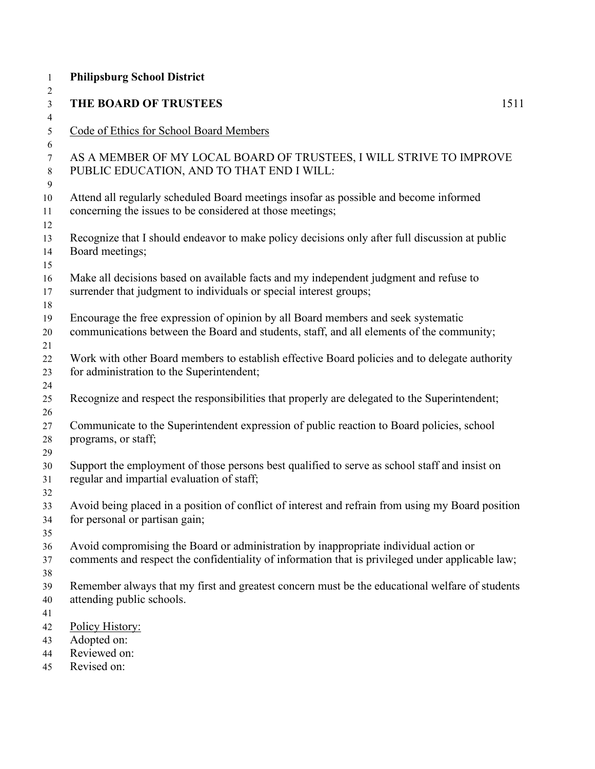| <b>Philipsburg School District</b>                                                                                                                                                       |      |
|------------------------------------------------------------------------------------------------------------------------------------------------------------------------------------------|------|
| THE BOARD OF TRUSTEES                                                                                                                                                                    | 1511 |
| Code of Ethics for School Board Members                                                                                                                                                  |      |
| AS A MEMBER OF MY LOCAL BOARD OF TRUSTEES, I WILL STRIVE TO IMPROVE<br>PUBLIC EDUCATION, AND TO THAT END I WILL:                                                                         |      |
| Attend all regularly scheduled Board meetings insofar as possible and become informed<br>concerning the issues to be considered at those meetings;                                       |      |
| Recognize that I should endeavor to make policy decisions only after full discussion at public<br>Board meetings;                                                                        |      |
| Make all decisions based on available facts and my independent judgment and refuse to<br>surrender that judgment to individuals or special interest groups;                              |      |
| Encourage the free expression of opinion by all Board members and seek systematic<br>communications between the Board and students, staff, and all elements of the community;            |      |
| Work with other Board members to establish effective Board policies and to delegate authority<br>for administration to the Superintendent;                                               |      |
| Recognize and respect the responsibilities that properly are delegated to the Superintendent;                                                                                            |      |
| Communicate to the Superintendent expression of public reaction to Board policies, school<br>programs, or staff;                                                                         |      |
| Support the employment of those persons best qualified to serve as school staff and insist on<br>regular and impartial evaluation of staff;                                              |      |
| Avoid being placed in a position of conflict of interest and refrain from using my Board position<br>for personal or partisan gain;                                                      |      |
| Avoid compromising the Board or administration by inappropriate individual action or<br>comments and respect the confidentiality of information that is privileged under applicable law; |      |
| Remember always that my first and greatest concern must be the educational welfare of students<br>attending public schools.                                                              |      |
| Policy History:<br>Adopted on:                                                                                                                                                           |      |
| Reviewed on:<br>Revised on:                                                                                                                                                              |      |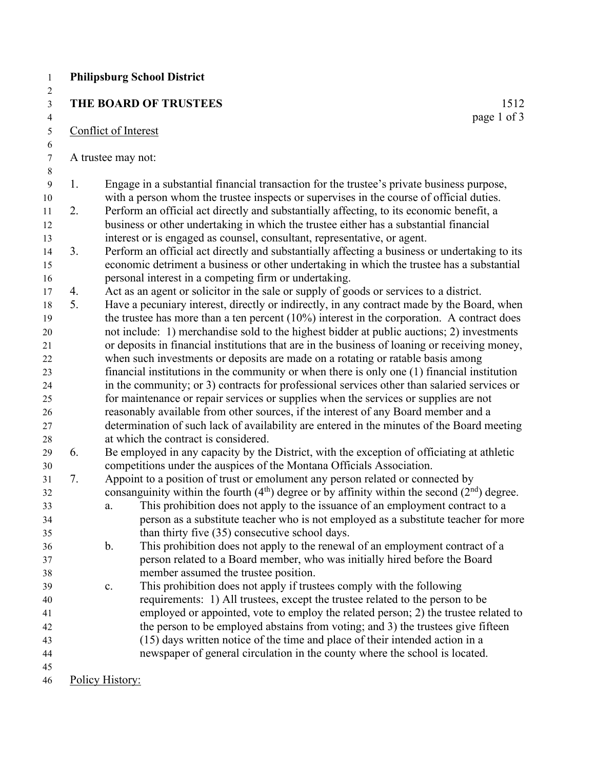|    | THE BOARD OF TRUSTEES                                                                                                                                                               | 1512        |
|----|-------------------------------------------------------------------------------------------------------------------------------------------------------------------------------------|-------------|
|    | Conflict of Interest                                                                                                                                                                | page 1 of 3 |
|    |                                                                                                                                                                                     |             |
|    | A trustee may not:                                                                                                                                                                  |             |
|    |                                                                                                                                                                                     |             |
| 1. | Engage in a substantial financial transaction for the trustee's private business purpose,                                                                                           |             |
| 2. | with a person whom the trustee inspects or supervises in the course of official duties.<br>Perform an official act directly and substantially affecting, to its economic benefit, a |             |
|    | business or other undertaking in which the trustee either has a substantial financial                                                                                               |             |
|    | interest or is engaged as counsel, consultant, representative, or agent.                                                                                                            |             |
| 3. | Perform an official act directly and substantially affecting a business or undertaking to its                                                                                       |             |
|    | economic detriment a business or other undertaking in which the trustee has a substantial                                                                                           |             |
|    | personal interest in a competing firm or undertaking.                                                                                                                               |             |
| 4. | Act as an agent or solicitor in the sale or supply of goods or services to a district.                                                                                              |             |
| 5. | Have a pecuniary interest, directly or indirectly, in any contract made by the Board, when                                                                                          |             |
|    | the trustee has more than a ten percent $(10\%)$ interest in the corporation. A contract does                                                                                       |             |
|    | not include: 1) merchandise sold to the highest bidder at public auctions; 2) investments                                                                                           |             |
|    | or deposits in financial institutions that are in the business of loaning or receiving money,                                                                                       |             |
|    | when such investments or deposits are made on a rotating or ratable basis among                                                                                                     |             |
|    | financial institutions in the community or when there is only one $(1)$ financial institution                                                                                       |             |
|    | in the community; or 3) contracts for professional services other than salaried services or                                                                                         |             |
|    | for maintenance or repair services or supplies when the services or supplies are not                                                                                                |             |
|    | reasonably available from other sources, if the interest of any Board member and a                                                                                                  |             |
|    | determination of such lack of availability are entered in the minutes of the Board meeting                                                                                          |             |
|    | at which the contract is considered.                                                                                                                                                |             |
| 6. | Be employed in any capacity by the District, with the exception of officiating at athletic                                                                                          |             |
|    | competitions under the auspices of the Montana Officials Association.                                                                                                               |             |
| 7. | Appoint to a position of trust or emolument any person related or connected by                                                                                                      |             |
|    | consanguinity within the fourth $(4th)$ degree or by affinity within the second $(2nd)$ degree.                                                                                     |             |
|    | This prohibition does not apply to the issuance of an employment contract to a<br>a.                                                                                                |             |
|    | person as a substitute teacher who is not employed as a substitute teacher for more                                                                                                 |             |
|    | than thirty five (35) consecutive school days.                                                                                                                                      |             |
|    | This prohibition does not apply to the renewal of an employment contract of a<br>b.                                                                                                 |             |
|    | person related to a Board member, who was initially hired before the Board                                                                                                          |             |
|    | member assumed the trustee position.                                                                                                                                                |             |
|    | This prohibition does not apply if trustees comply with the following<br>c.                                                                                                         |             |
|    | requirements: 1) All trustees, except the trustee related to the person to be                                                                                                       |             |
|    | employed or appointed, vote to employ the related person; 2) the trustee related to                                                                                                 |             |
|    | the person to be employed abstains from voting; and 3) the trustees give fifteen                                                                                                    |             |
|    | (15) days written notice of the time and place of their intended action in a                                                                                                        |             |
|    | newspaper of general circulation in the county where the school is located.                                                                                                         |             |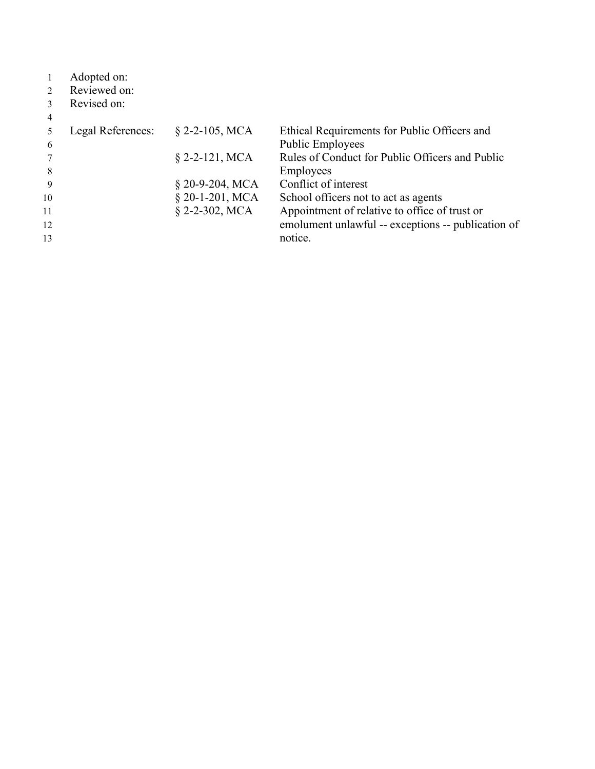|               | Adopted on:       |                    |                                                    |
|---------------|-------------------|--------------------|----------------------------------------------------|
| $\mathcal{L}$ | Reviewed on:      |                    |                                                    |
|               | Revised on:       |                    |                                                    |
| 4             |                   |                    |                                                    |
|               | Legal References: | $\S$ 2-2-105, MCA  | Ethical Requirements for Public Officers and       |
| 6             |                   |                    | <b>Public Employees</b>                            |
|               |                   | $$2-2-121, MCA$    | Rules of Conduct for Public Officers and Public    |
| 8             |                   |                    | Employees                                          |
| 9             |                   | $\S$ 20-9-204, MCA | Conflict of interest                               |
| 10            |                   | $§$ 20-1-201, MCA  | School officers not to act as agents               |
| 11            |                   | $\S$ 2-2-302, MCA  | Appointment of relative to office of trust or      |
| 12            |                   |                    | emolument unlawful -- exceptions -- publication of |
| 13            |                   |                    | notice.                                            |
|               |                   |                    |                                                    |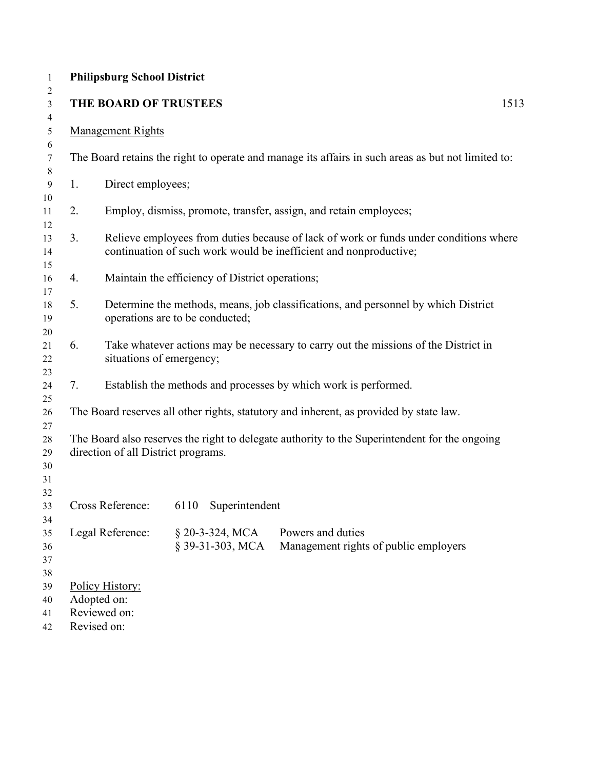|    | <b>Philipsburg School District</b>                            |                                                 |                                                                                                                                                            |      |
|----|---------------------------------------------------------------|-------------------------------------------------|------------------------------------------------------------------------------------------------------------------------------------------------------------|------|
|    | THE BOARD OF TRUSTEES                                         |                                                 |                                                                                                                                                            | 1513 |
|    | <b>Management Rights</b>                                      |                                                 |                                                                                                                                                            |      |
|    |                                                               |                                                 | The Board retains the right to operate and manage its affairs in such areas as but not limited to:                                                         |      |
| 1. | Direct employees;                                             |                                                 |                                                                                                                                                            |      |
| 2. |                                                               |                                                 | Employ, dismiss, promote, transfer, assign, and retain employees;                                                                                          |      |
| 3. |                                                               |                                                 | Relieve employees from duties because of lack of work or funds under conditions where<br>continuation of such work would be inefficient and nonproductive; |      |
| 4. |                                                               | Maintain the efficiency of District operations; |                                                                                                                                                            |      |
| 5. |                                                               | operations are to be conducted;                 | Determine the methods, means, job classifications, and personnel by which District                                                                         |      |
| 6. |                                                               | situations of emergency;                        | Take whatever actions may be necessary to carry out the missions of the District in                                                                        |      |
| 7. |                                                               |                                                 | Establish the methods and processes by which work is performed.                                                                                            |      |
|    |                                                               |                                                 | The Board reserves all other rights, statutory and inherent, as provided by state law.                                                                     |      |
|    | direction of all District programs.                           |                                                 | The Board also reserves the right to delegate authority to the Superintendent for the ongoing                                                              |      |
|    | Cross Reference:                                              | 6110 Superintendent                             |                                                                                                                                                            |      |
|    | Legal Reference:                                              | § 20-3-324, MCA<br>§ 39-31-303, MCA             | Powers and duties<br>Management rights of public employers                                                                                                 |      |
|    | Policy History:<br>Adopted on:<br>Reviewed on:<br>Revised on: |                                                 |                                                                                                                                                            |      |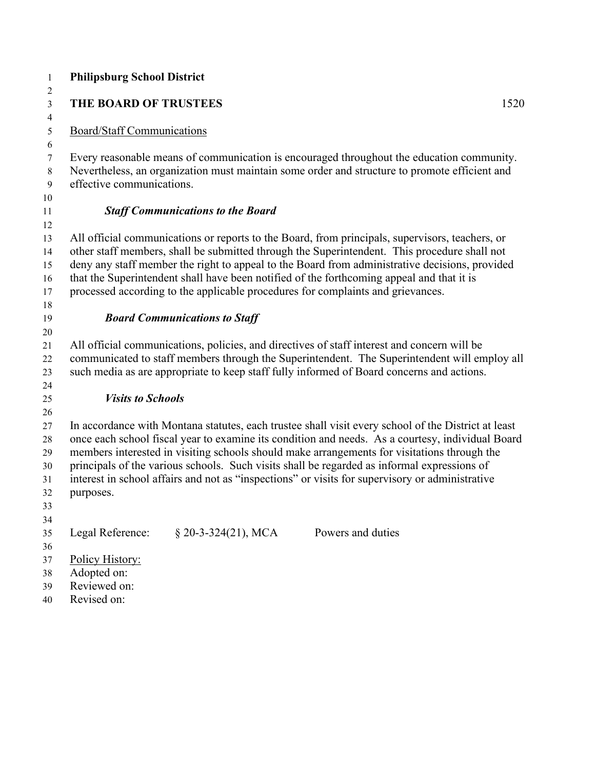| $\mathbf{1}$                     | <b>Philipsburg School District</b>                                                                                                                                                                                      |  |
|----------------------------------|-------------------------------------------------------------------------------------------------------------------------------------------------------------------------------------------------------------------------|--|
| $\overline{2}$<br>$\mathfrak{Z}$ | THE BOARD OF TRUSTEES<br>1520                                                                                                                                                                                           |  |
| $\overline{4}$                   |                                                                                                                                                                                                                         |  |
| 5                                | <b>Board/Staff Communications</b>                                                                                                                                                                                       |  |
| 6                                |                                                                                                                                                                                                                         |  |
| 7<br>8<br>9                      | Every reasonable means of communication is encouraged throughout the education community.<br>Nevertheless, an organization must maintain some order and structure to promote efficient and<br>effective communications. |  |
| 10                               |                                                                                                                                                                                                                         |  |
| 11                               | <b>Staff Communications to the Board</b>                                                                                                                                                                                |  |
| 12                               |                                                                                                                                                                                                                         |  |
| 13<br>14                         | All official communications or reports to the Board, from principals, supervisors, teachers, or<br>other staff members, shall be submitted through the Superintendent. This procedure shall not                         |  |
| 15                               | deny any staff member the right to appeal to the Board from administrative decisions, provided                                                                                                                          |  |
| 16                               | that the Superintendent shall have been notified of the forthcoming appeal and that it is                                                                                                                               |  |
| 17                               | processed according to the applicable procedures for complaints and grievances.                                                                                                                                         |  |
| 18                               |                                                                                                                                                                                                                         |  |
| 19                               | <b>Board Communications to Staff</b>                                                                                                                                                                                    |  |
| 20                               |                                                                                                                                                                                                                         |  |
| 21                               | All official communications, policies, and directives of staff interest and concern will be                                                                                                                             |  |
| 22<br>23                         | communicated to staff members through the Superintendent. The Superintendent will employ all<br>such media as are appropriate to keep staff fully informed of Board concerns and actions.                               |  |
| 24                               |                                                                                                                                                                                                                         |  |
| 25                               | <b>Visits to Schools</b>                                                                                                                                                                                                |  |
| 26                               |                                                                                                                                                                                                                         |  |
| 27                               | In accordance with Montana statutes, each trustee shall visit every school of the District at least                                                                                                                     |  |
| 28                               | once each school fiscal year to examine its condition and needs. As a courtesy, individual Board                                                                                                                        |  |
| 29                               | members interested in visiting schools should make arrangements for visitations through the                                                                                                                             |  |
| 30                               | principals of the various schools. Such visits shall be regarded as informal expressions of                                                                                                                             |  |
| 31                               | interest in school affairs and not as "inspections" or visits for supervisory or administrative                                                                                                                         |  |
| 32                               | purposes.                                                                                                                                                                                                               |  |
| 33                               |                                                                                                                                                                                                                         |  |
| 34                               |                                                                                                                                                                                                                         |  |
| 35                               | $$20-3-324(21), MCA$<br>Legal Reference:<br>Powers and duties                                                                                                                                                           |  |
| 36                               |                                                                                                                                                                                                                         |  |
| 37                               | Policy History:                                                                                                                                                                                                         |  |
| 38                               | Adopted on:                                                                                                                                                                                                             |  |
| 39                               | Reviewed on:<br>Revised on:                                                                                                                                                                                             |  |
| 40                               |                                                                                                                                                                                                                         |  |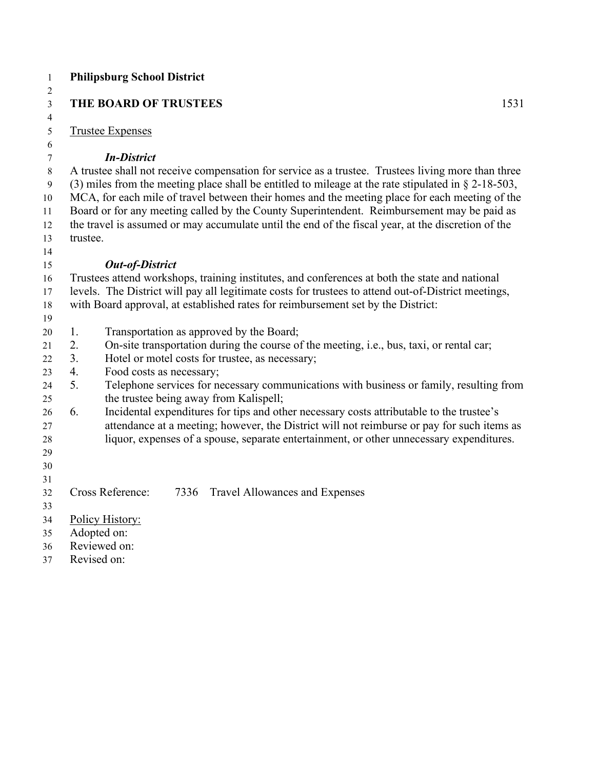| $\mathbf{1}$    |          | <b>Philipsburg School District</b>                                                                                                                                                      |
|-----------------|----------|-----------------------------------------------------------------------------------------------------------------------------------------------------------------------------------------|
| 2<br>3          |          | THE BOARD OF TRUSTEES<br>1531                                                                                                                                                           |
| $\overline{4}$  |          |                                                                                                                                                                                         |
| 5               |          | <b>Trustee Expenses</b>                                                                                                                                                                 |
| 6               |          |                                                                                                                                                                                         |
| 7               |          | <b>In-District</b>                                                                                                                                                                      |
| $8\phantom{.0}$ |          | A trustee shall not receive compensation for service as a trustee. Trustees living more than three                                                                                      |
| 9               |          | (3) miles from the meeting place shall be entitled to mileage at the rate stipulated in $\S 2$ -18-503,                                                                                 |
| 10              |          | MCA, for each mile of travel between their homes and the meeting place for each meeting of the                                                                                          |
| 11              |          | Board or for any meeting called by the County Superintendent. Reimbursement may be paid as                                                                                              |
| 12              |          | the travel is assumed or may accumulate until the end of the fiscal year, at the discretion of the                                                                                      |
| 13              | trustee. |                                                                                                                                                                                         |
| 14              |          |                                                                                                                                                                                         |
| 15              |          | <b>Out-of-District</b>                                                                                                                                                                  |
| 16              |          | Trustees attend workshops, training institutes, and conferences at both the state and national                                                                                          |
| 17<br>18        |          | levels. The District will pay all legitimate costs for trustees to attend out-of-District meetings,<br>with Board approval, at established rates for reimbursement set by the District: |
| 19              |          |                                                                                                                                                                                         |
| 20              | 1.       | Transportation as approved by the Board;                                                                                                                                                |
| 21              | 2.       | On-site transportation during the course of the meeting, i.e., bus, taxi, or rental car;                                                                                                |
| 22              | 3.       | Hotel or motel costs for trustee, as necessary;                                                                                                                                         |
| 23              | 4.       | Food costs as necessary;                                                                                                                                                                |
| 24              | 5.       | Telephone services for necessary communications with business or family, resulting from                                                                                                 |
| 25              |          | the trustee being away from Kalispell;                                                                                                                                                  |
| 26              | 6.       | Incidental expenditures for tips and other necessary costs attributable to the trustee's                                                                                                |
| 27              |          | attendance at a meeting; however, the District will not reimburse or pay for such items as                                                                                              |
| 28              |          | liquor, expenses of a spouse, separate entertainment, or other unnecessary expenditures.                                                                                                |
| 29              |          |                                                                                                                                                                                         |
| 30              |          |                                                                                                                                                                                         |
| 31              |          | Cross Reference:<br>7336                                                                                                                                                                |
| 32<br>33        |          | Travel Allowances and Expenses                                                                                                                                                          |
| 34              |          | Policy History:                                                                                                                                                                         |
| 35              |          | Adopted on:                                                                                                                                                                             |
| 36              |          | Reviewed on:                                                                                                                                                                            |
| 37              |          | Revised on:                                                                                                                                                                             |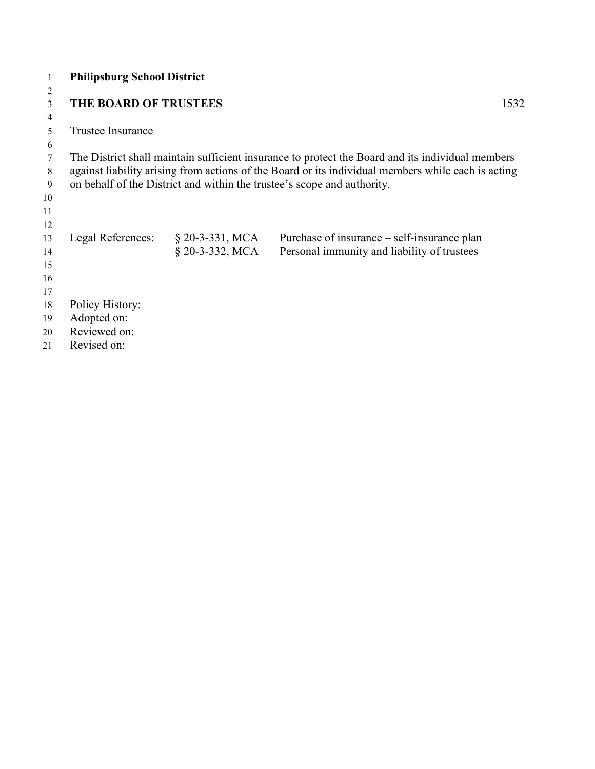| 1  | <b>Philipsburg School District</b> |                   |                                                                                                    |
|----|------------------------------------|-------------------|----------------------------------------------------------------------------------------------------|
| 2  |                                    |                   |                                                                                                    |
| 3  | <b>THE BOARD OF TRUSTEES</b>       |                   | 1532                                                                                               |
| 4  |                                    |                   |                                                                                                    |
| 5  | Trustee Insurance                  |                   |                                                                                                    |
| 6  |                                    |                   |                                                                                                    |
| 7  |                                    |                   | The District shall maintain sufficient insurance to protect the Board and its individual members   |
| 8  |                                    |                   | against liability arising from actions of the Board or its individual members while each is acting |
| 9  |                                    |                   | on behalf of the District and within the trustee's scope and authority.                            |
| 10 |                                    |                   |                                                                                                    |
| 11 |                                    |                   |                                                                                                    |
| 12 |                                    |                   |                                                                                                    |
| 13 | Legal References:                  | $§$ 20-3-331, MCA | Purchase of insurance – self-insurance plan                                                        |
| 14 |                                    | $§$ 20-3-332, MCA | Personal immunity and liability of trustees                                                        |
| 15 |                                    |                   |                                                                                                    |
| 16 |                                    |                   |                                                                                                    |
| 17 |                                    |                   |                                                                                                    |
| 18 | Policy History:                    |                   |                                                                                                    |
| 19 | Adopted on:                        |                   |                                                                                                    |
| 20 | Reviewed on:                       |                   |                                                                                                    |
| 21 | Revised on:                        |                   |                                                                                                    |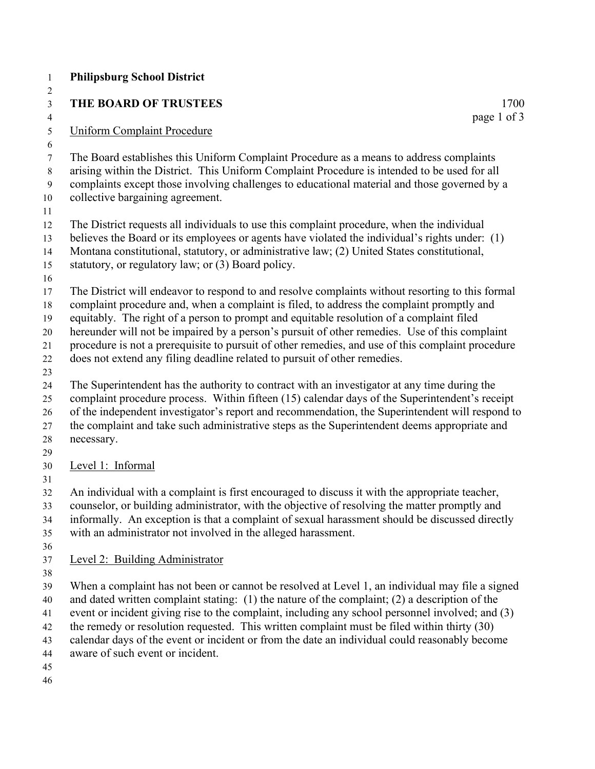| $\mathbf{1}$                           | <b>Philipsburg School District</b>                                                                                                                                                                                                                                                                                                                                                                                                                                                                                                                                           |
|----------------------------------------|------------------------------------------------------------------------------------------------------------------------------------------------------------------------------------------------------------------------------------------------------------------------------------------------------------------------------------------------------------------------------------------------------------------------------------------------------------------------------------------------------------------------------------------------------------------------------|
| 2                                      |                                                                                                                                                                                                                                                                                                                                                                                                                                                                                                                                                                              |
| $\mathfrak{Z}$                         | THE BOARD OF TRUSTEES<br>1700                                                                                                                                                                                                                                                                                                                                                                                                                                                                                                                                                |
| $\overline{4}$<br>5                    | page 1 of 3<br><b>Uniform Complaint Procedure</b>                                                                                                                                                                                                                                                                                                                                                                                                                                                                                                                            |
| 6<br>$\tau$<br>$8\,$<br>9<br>10<br>11  | The Board establishes this Uniform Complaint Procedure as a means to address complaints<br>arising within the District. This Uniform Complaint Procedure is intended to be used for all<br>complaints except those involving challenges to educational material and those governed by a<br>collective bargaining agreement.                                                                                                                                                                                                                                                  |
| 12<br>13<br>14<br>15<br>16             | The District requests all individuals to use this complaint procedure, when the individual<br>believes the Board or its employees or agents have violated the individual's rights under: (1)<br>Montana constitutional, statutory, or administrative law; (2) United States constitutional,<br>statutory, or regulatory law; or (3) Board policy.                                                                                                                                                                                                                            |
| 17<br>18<br>19<br>20<br>21<br>22<br>23 | The District will endeavor to respond to and resolve complaints without resorting to this formal<br>complaint procedure and, when a complaint is filed, to address the complaint promptly and<br>equitably. The right of a person to prompt and equitable resolution of a complaint filed<br>hereunder will not be impaired by a person's pursuit of other remedies. Use of this complaint<br>procedure is not a prerequisite to pursuit of other remedies, and use of this complaint procedure<br>does not extend any filing deadline related to pursuit of other remedies. |
| 24<br>25<br>26<br>27<br>28<br>29       | The Superintendent has the authority to contract with an investigator at any time during the<br>complaint procedure process. Within fifteen (15) calendar days of the Superintendent's receipt<br>of the independent investigator's report and recommendation, the Superintendent will respond to<br>the complaint and take such administrative steps as the Superintendent deems appropriate and<br>necessary.                                                                                                                                                              |
| 30                                     | Level 1: Informal                                                                                                                                                                                                                                                                                                                                                                                                                                                                                                                                                            |
| 31<br>32<br>33<br>34<br>35<br>36       | An individual with a complaint is first encouraged to discuss it with the appropriate teacher,<br>counselor, or building administrator, with the objective of resolving the matter promptly and<br>informally. An exception is that a complaint of sexual harassment should be discussed directly<br>with an administrator not involved in the alleged harassment.                                                                                                                                                                                                           |
| 37<br>38                               | Level 2: Building Administrator                                                                                                                                                                                                                                                                                                                                                                                                                                                                                                                                              |
| 39<br>40<br>41<br>42<br>43<br>44       | When a complaint has not been or cannot be resolved at Level 1, an individual may file a signed<br>and dated written complaint stating: $(1)$ the nature of the complaint; $(2)$ a description of the<br>event or incident giving rise to the complaint, including any school personnel involved; and (3)<br>the remedy or resolution requested. This written complaint must be filed within thirty (30)<br>calendar days of the event or incident or from the date an individual could reasonably become<br>aware of such event or incident.                                |
|                                        |                                                                                                                                                                                                                                                                                                                                                                                                                                                                                                                                                                              |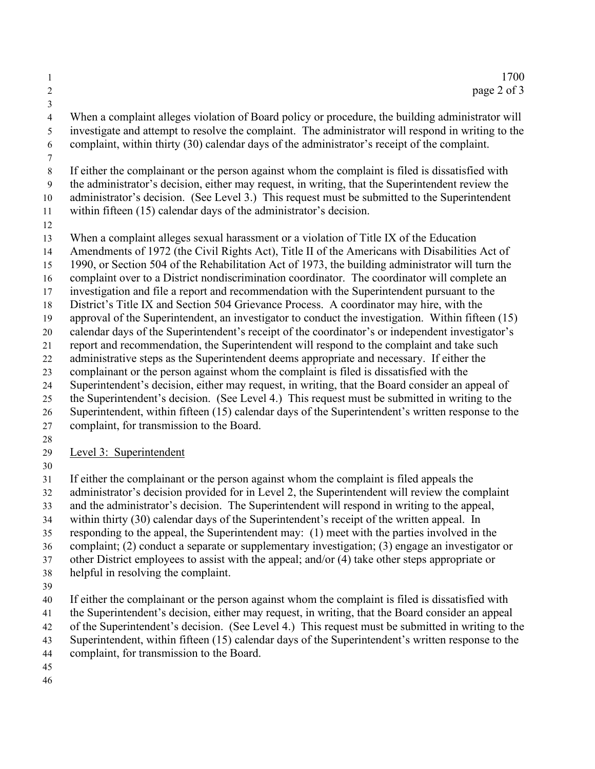1 1700 2 page 2 of 3

4 When a complaint alleges violation of Board policy or procedure, the building administrator will 5 investigate and attempt to resolve the complaint. The administrator will respond in writing to the 6 complaint, within thirty (30) calendar days of the administrator's receipt of the complaint.

8 If either the complainant or the person against whom the complaint is filed is dissatisfied with 9 the administrator's decision, either may request, in writing, that the Superintendent review the administrator's decision. (See Level 3.) This request must be submitted to the Superintendent

within fifteen (15) calendar days of the administrator's decision.

When a complaint alleges sexual harassment or a violation of Title IX of the Education

Amendments of 1972 (the Civil Rights Act), Title II of the Americans with Disabilities Act of

1990, or Section 504 of the Rehabilitation Act of 1973, the building administrator will turn the

complaint over to a District nondiscrimination coordinator. The coordinator will complete an

investigation and file a report and recommendation with the Superintendent pursuant to the

District's Title IX and Section 504 Grievance Process. A coordinator may hire, with the

approval of the Superintendent, an investigator to conduct the investigation. Within fifteen (15)

calendar days of the Superintendent's receipt of the coordinator's or independent investigator's

report and recommendation, the Superintendent will respond to the complaint and take such

administrative steps as the Superintendent deems appropriate and necessary. If either the

 complainant or the person against whom the complaint is filed is dissatisfied with the Superintendent's decision, either may request, in writing, that the Board consider an appeal of

the Superintendent's decision. (See Level 4.) This request must be submitted in writing to the

Superintendent, within fifteen (15) calendar days of the Superintendent's written response to the

- complaint, for transmission to the Board.
- 

Level 3: Superintendent

If either the complainant or the person against whom the complaint is filed appeals the

administrator's decision provided for in Level 2, the Superintendent will review the complaint

and the administrator's decision. The Superintendent will respond in writing to the appeal,

within thirty (30) calendar days of the Superintendent's receipt of the written appeal. In

responding to the appeal, the Superintendent may: (1) meet with the parties involved in the

complaint; (2) conduct a separate or supplementary investigation; (3) engage an investigator or

other District employees to assist with the appeal; and/or (4) take other steps appropriate or

- helpful in resolving the complaint.
- 

If either the complainant or the person against whom the complaint is filed is dissatisfied with

the Superintendent's decision, either may request, in writing, that the Board consider an appeal

of the Superintendent's decision. (See Level 4.) This request must be submitted in writing to the

Superintendent, within fifteen (15) calendar days of the Superintendent's written response to the

complaint, for transmission to the Board.